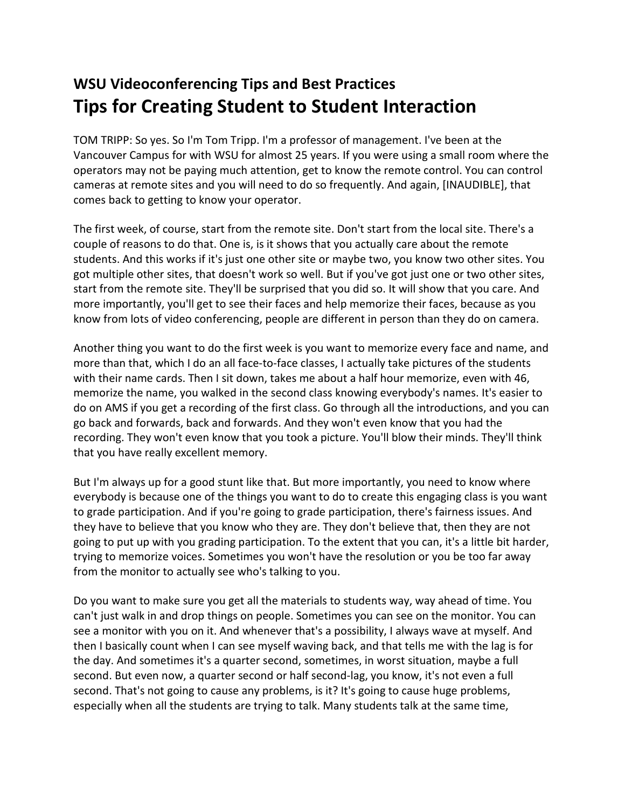## **WSU Videoconferencing Tips and Best Practices Tips for Creating Student to Student Interaction**

TOM TRIPP: So yes. So I'm Tom Tripp. I'm a professor of management. I've been at the Vancouver Campus for with WSU for almost 25 years. If you were using a small room where the operators may not be paying much attention, get to know the remote control. You can control cameras at remote sites and you will need to do so frequently. And again, [INAUDIBLE], that comes back to getting to know your operator.

The first week, of course, start from the remote site. Don't start from the local site. There's a couple of reasons to do that. One is, is it shows that you actually care about the remote students. And this works if it's just one other site or maybe two, you know two other sites. You got multiple other sites, that doesn't work so well. But if you've got just one or two other sites, start from the remote site. They'll be surprised that you did so. It will show that you care. And more importantly, you'll get to see their faces and help memorize their faces, because as you know from lots of video conferencing, people are different in person than they do on camera.

Another thing you want to do the first week is you want to memorize every face and name, and more than that, which I do an all face-to-face classes, I actually take pictures of the students with their name cards. Then I sit down, takes me about a half hour memorize, even with 46, memorize the name, you walked in the second class knowing everybody's names. It's easier to do on AMS if you get a recording of the first class. Go through all the introductions, and you can go back and forwards, back and forwards. And they won't even know that you had the recording. They won't even know that you took a picture. You'll blow their minds. They'll think that you have really excellent memory.

But I'm always up for a good stunt like that. But more importantly, you need to know where everybody is because one of the things you want to do to create this engaging class is you want to grade participation. And if you're going to grade participation, there's fairness issues. And they have to believe that you know who they are. They don't believe that, then they are not going to put up with you grading participation. To the extent that you can, it's a little bit harder, trying to memorize voices. Sometimes you won't have the resolution or you be too far away from the monitor to actually see who's talking to you.

Do you want to make sure you get all the materials to students way, way ahead of time. You can't just walk in and drop things on people. Sometimes you can see on the monitor. You can see a monitor with you on it. And whenever that's a possibility, I always wave at myself. And then I basically count when I can see myself waving back, and that tells me with the lag is for the day. And sometimes it's a quarter second, sometimes, in worst situation, maybe a full second. But even now, a quarter second or half second-lag, you know, it's not even a full second. That's not going to cause any problems, is it? It's going to cause huge problems, especially when all the students are trying to talk. Many students talk at the same time,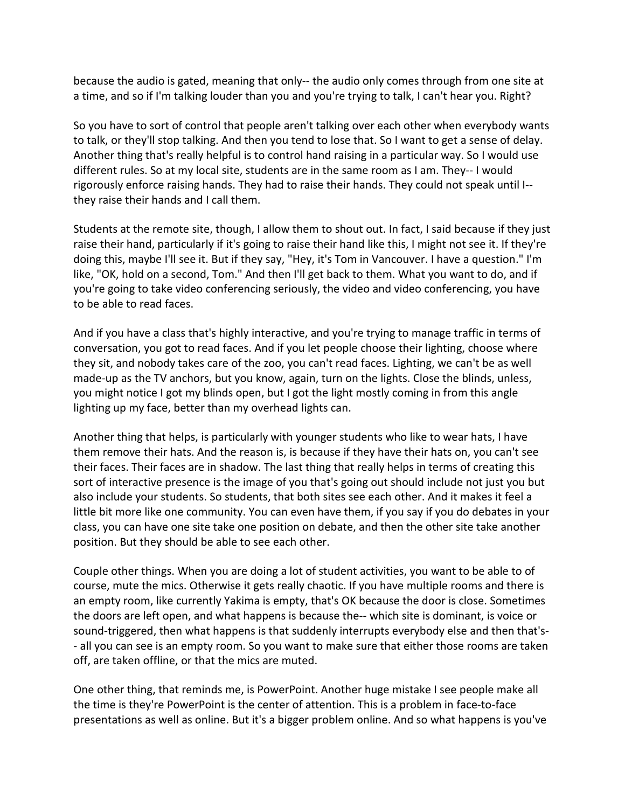because the audio is gated, meaning that only-- the audio only comes through from one site at a time, and so if I'm talking louder than you and you're trying to talk, I can't hear you. Right?

So you have to sort of control that people aren't talking over each other when everybody wants to talk, or they'll stop talking. And then you tend to lose that. So I want to get a sense of delay. Another thing that's really helpful is to control hand raising in a particular way. So I would use different rules. So at my local site, students are in the same room as I am. They-- I would rigorously enforce raising hands. They had to raise their hands. They could not speak until I- they raise their hands and I call them.

Students at the remote site, though, I allow them to shout out. In fact, I said because if they just raise their hand, particularly if it's going to raise their hand like this, I might not see it. If they're doing this, maybe I'll see it. But if they say, "Hey, it's Tom in Vancouver. I have a question." I'm like, "OK, hold on a second, Tom." And then I'll get back to them. What you want to do, and if you're going to take video conferencing seriously, the video and video conferencing, you have to be able to read faces.

And if you have a class that's highly interactive, and you're trying to manage traffic in terms of conversation, you got to read faces. And if you let people choose their lighting, choose where they sit, and nobody takes care of the zoo, you can't read faces. Lighting, we can't be as well made-up as the TV anchors, but you know, again, turn on the lights. Close the blinds, unless, you might notice I got my blinds open, but I got the light mostly coming in from this angle lighting up my face, better than my overhead lights can.

Another thing that helps, is particularly with younger students who like to wear hats, I have them remove their hats. And the reason is, is because if they have their hats on, you can't see their faces. Their faces are in shadow. The last thing that really helps in terms of creating this sort of interactive presence is the image of you that's going out should include not just you but also include your students. So students, that both sites see each other. And it makes it feel a little bit more like one community. You can even have them, if you say if you do debates in your class, you can have one site take one position on debate, and then the other site take another position. But they should be able to see each other.

Couple other things. When you are doing a lot of student activities, you want to be able to of course, mute the mics. Otherwise it gets really chaotic. If you have multiple rooms and there is an empty room, like currently Yakima is empty, that's OK because the door is close. Sometimes the doors are left open, and what happens is because the-- which site is dominant, is voice or sound-triggered, then what happens is that suddenly interrupts everybody else and then that's- - all you can see is an empty room. So you want to make sure that either those rooms are taken off, are taken offline, or that the mics are muted.

One other thing, that reminds me, is PowerPoint. Another huge mistake I see people make all the time is they're PowerPoint is the center of attention. This is a problem in face-to-face presentations as well as online. But it's a bigger problem online. And so what happens is you've